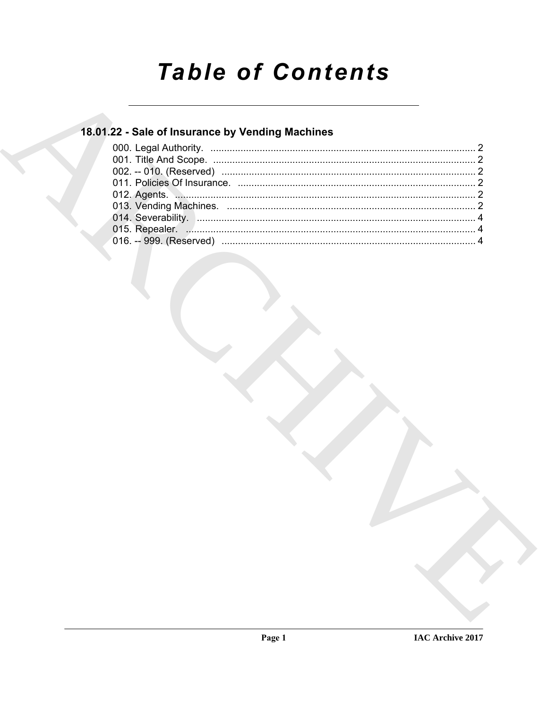# **Table of Contents**

### 18.01.22 - Sale of Insurance by Vending Machines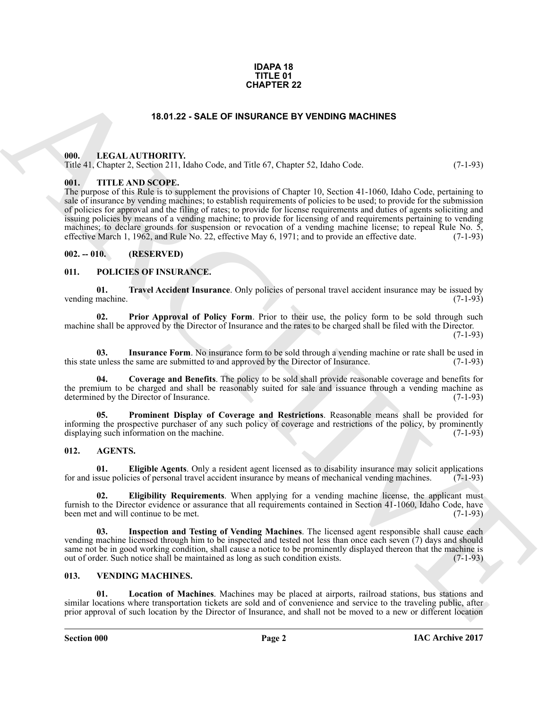#### **IDAPA 18 TITLE 01 CHAPTER 22**

### **18.01.22 - SALE OF INSURANCE BY VENDING MACHINES**

### <span id="page-1-1"></span><span id="page-1-0"></span>**000. LEGAL AUTHORITY.**

Title 41, Chapter 2, Section 211, Idaho Code, and Title 67, Chapter 52, Idaho Code. (7-1-93)

### <span id="page-1-2"></span>**001. TITLE AND SCOPE.**

**ERAL ATTIONERY 22**<br> **ERAL ATTIONERY**<br> **ERAL ATTIONERY EXAMPLE BY PERIODING MACHINES**<br> **ERAL ATTIONERY**<br> **ERAL ATTIONERY EXAMPLE CONTRACT BY PERIODIC ORDER IN EVALUATION (EXAMPLE FOR ALL CONTRACT BY AND ASSOCIATE THE CONT** The purpose of this Rule is to supplement the provisions of Chapter 10, Section 41-1060, Idaho Code, pertaining to sale of insurance by vending machines; to establish requirements of policies to be used; to provide for the submission of policies for approval and the filing of rates; to provide for license requirements and duties of agents soliciting and issuing policies by means of a vending machine; to provide for licensing of and requirements pertaining to vending machines; to declare grounds for suspension or revocation of a vending machine license; to repeal Rule No. 5, effective March 1, 1962, and Rule No. 22, effective May 6, 1971; and to provide an effective date. (7-1-93) effective March 1, 1962, and Rule No. 22, effective May 6, 1971; and to provide an effective date.

### <span id="page-1-3"></span>**002. -- 010. (RESERVED)**

### <span id="page-1-11"></span><span id="page-1-4"></span>**011. POLICIES OF INSURANCE.**

<span id="page-1-16"></span>**01. Travel Accident Insurance**. Only policies of personal travel accident insurance may be issued by vending machine.

<span id="page-1-14"></span>**02. Prior Approval of Policy Form**. Prior to their use, the policy form to be sold through such machine shall be approved by the Director of Insurance and the rates to be charged shall be filed with the Director.

(7-1-93)

<span id="page-1-13"></span>**03.** Insurance Form. No insurance form to be sold through a vending machine or rate shall be used in unless the same are submitted to and approved by the Director of Insurance. (7-1-93) this state unless the same are submitted to and approved by the Director of Insurance.

<span id="page-1-12"></span>**04. Coverage and Benefits**. The policy to be sold shall provide reasonable coverage and benefits for the premium to be charged and shall be reasonably suited for sale and issuance through a vending machine as determined by the Director of Insurance. (7-1-93) determined by the Director of Insurance.

<span id="page-1-15"></span>**05. Prominent Display of Coverage and Restrictions**. Reasonable means shall be provided for informing the prospective purchaser of any such policy of coverage and restrictions of the policy, by prominently displaying such information on the machine. (7-1-93) displaying such information on the machine.

### <span id="page-1-7"></span><span id="page-1-5"></span>**012. AGENTS.**

<span id="page-1-9"></span>**01. Eligible Agents**. Only a resident agent licensed as to disability insurance may solicit applications sum policies of personal travel accident insurance by means of mechanical vending machines. (7-1-93) for and issue policies of personal travel accident insurance by means of mechanical vending machines.

<span id="page-1-8"></span>**02. Eligibility Requirements**. When applying for a vending machine license, the applicant must furnish to the Director evidence or assurance that all requirements contained in Section 41-1060, Idaho Code, have<br>(7-1-93) been met and will continue to be met.

<span id="page-1-10"></span>**03. Inspection and Testing of Vending Machines**. The licensed agent responsible shall cause each vending machine licensed through him to be inspected and tested not less than once each seven (7) days and should same not be in good working condition, shall cause a notice to be prominently displayed thereon that the machine is out of order. Such notice shall be maintained as long as such condition exists. (7-1-93)

### <span id="page-1-17"></span><span id="page-1-6"></span>**013. VENDING MACHINES.**

<span id="page-1-18"></span>**01. Location of Machines**. Machines may be placed at airports, railroad stations, bus stations and similar locations where transportation tickets are sold and of convenience and service to the traveling public, after prior approval of such location by the Director of Insurance, and shall not be moved to a new or different location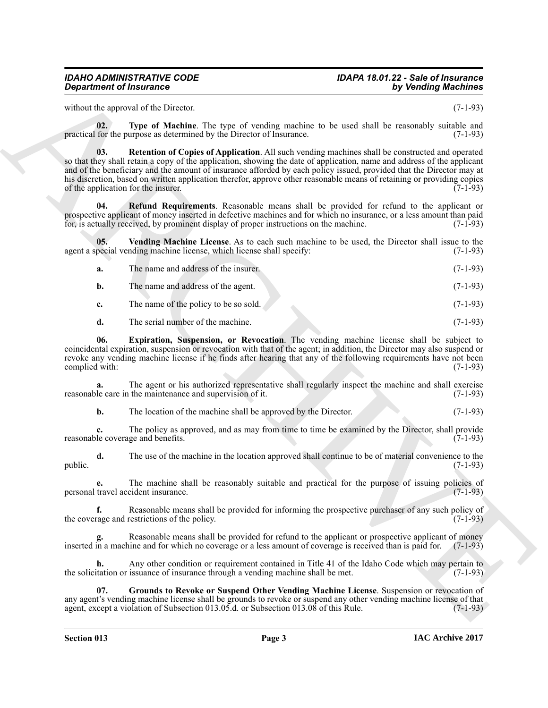## *Department of Insurance*

## <span id="page-2-5"></span><span id="page-2-4"></span><span id="page-2-3"></span><span id="page-2-2"></span><span id="page-2-1"></span><span id="page-2-0"></span>*IDAHO ADMINISTRATIVE CODE IDAPA 18.01.22 - Sale of Insurance*

|                       | <b>Department of Insurance</b>                                                         | by Vending Machines                                                                                                                                                                                                                                                                                                                                                                                                                                                                        |
|-----------------------|----------------------------------------------------------------------------------------|--------------------------------------------------------------------------------------------------------------------------------------------------------------------------------------------------------------------------------------------------------------------------------------------------------------------------------------------------------------------------------------------------------------------------------------------------------------------------------------------|
|                       | without the approval of the Director.                                                  | $(7-1-93)$                                                                                                                                                                                                                                                                                                                                                                                                                                                                                 |
| 02.                   | practical for the purpose as determined by the Director of Insurance.                  | Type of Machine. The type of vending machine to be used shall be reasonably suitable and<br>$(7-1-93)$                                                                                                                                                                                                                                                                                                                                                                                     |
| 03.                   | of the application for the insurer.                                                    | Retention of Copies of Application. All such vending machines shall be constructed and operated<br>so that they shall retain a copy of the application, showing the date of application, name and address of the applicant<br>and of the beneficiary and the amount of insurance afforded by each policy issued, provided that the Director may at<br>his discretion, based on written application therefor, approve other reasonable means of retaining or providing copies<br>$(7-1-93)$ |
| 04.                   | for, is actually received, by prominent display of proper instructions on the machine. | <b>Refund Requirements</b> . Reasonable means shall be provided for refund to the applicant or<br>prospective applicant of money inserted in defective machines and for which no insurance, or a less amount than paid<br>$(7-1-93)$                                                                                                                                                                                                                                                       |
| 05.                   | agent a special vending machine license, which license shall specify:                  | Vending Machine License. As to each such machine to be used, the Director shall issue to the<br>$(7-1-93)$                                                                                                                                                                                                                                                                                                                                                                                 |
| a.                    | The name and address of the insurer.                                                   | $(7-1-93)$                                                                                                                                                                                                                                                                                                                                                                                                                                                                                 |
| b.                    | The name and address of the agent.                                                     | $(7-1-93)$                                                                                                                                                                                                                                                                                                                                                                                                                                                                                 |
| c.                    | The name of the policy to be so sold.                                                  | $(7-1-93)$                                                                                                                                                                                                                                                                                                                                                                                                                                                                                 |
| d.                    | The serial number of the machine.                                                      | $(7-1-93)$                                                                                                                                                                                                                                                                                                                                                                                                                                                                                 |
| 06.<br>complied with: |                                                                                        | Expiration, Suspension, or Revocation. The vending machine license shall be subject to<br>coincidental expiration, suspension or revocation with that of the agent; in addition, the Director may also suspend or<br>revoke any vending machine license if he finds after hearing that any of the following requirements have not been<br>$(7-1-93)$                                                                                                                                       |
| a.                    | reasonable care in the maintenance and supervision of it.                              | The agent or his authorized representative shall regularly inspect the machine and shall exercise<br>$(7-1-93)$                                                                                                                                                                                                                                                                                                                                                                            |
| b.                    | The location of the machine shall be approved by the Director.                         | $(7-1-93)$                                                                                                                                                                                                                                                                                                                                                                                                                                                                                 |
| c.                    | reasonable coverage and benefits.                                                      | The policy as approved, and as may from time to time be examined by the Director, shall provide<br>$(7-1-93)$                                                                                                                                                                                                                                                                                                                                                                              |
| d.<br>public.         |                                                                                        | The use of the machine in the location approved shall continue to be of material convenience to the<br>$(7-1-93)$                                                                                                                                                                                                                                                                                                                                                                          |
|                       | personal travel accident insurance.                                                    | The machine shall be reasonably suitable and practical for the purpose of issuing policies of<br>$(7-1-93)$                                                                                                                                                                                                                                                                                                                                                                                |
| f.                    | the coverage and restrictions of the policy.                                           | Reasonable means shall be provided for informing the prospective purchaser of any such policy of<br>$(7-1-93)$                                                                                                                                                                                                                                                                                                                                                                             |
|                       |                                                                                        | Reasonable means shall be provided for refund to the applicant or prospective applicant of money<br>inserted in a machine and for which no coverage or a less amount of coverage is received than is paid for.<br>$(7-1-93)$                                                                                                                                                                                                                                                               |
| h.                    | the solicitation or issuance of insurance through a vending machine shall be met.      | Any other condition or requirement contained in Title 41 of the Idaho Code which may pertain to<br>$(7-1-93)$                                                                                                                                                                                                                                                                                                                                                                              |
| 07.                   |                                                                                        | Grounds to Revoke or Suspend Other Vending Machine License. Suspension or revocation of                                                                                                                                                                                                                                                                                                                                                                                                    |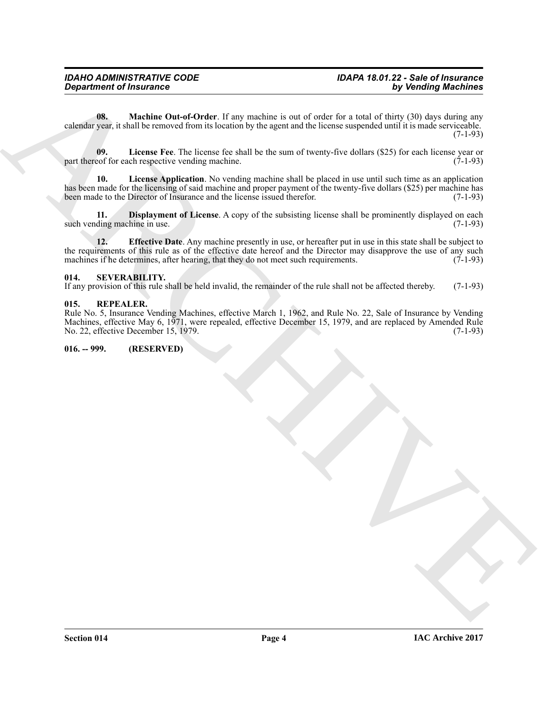<span id="page-3-7"></span>**08.** Machine Out-of-Order. If any machine is out of order for a total of thirty (30) days during any calendar year, it shall be removed from its location by the agent and the license suspended until it is made serviceable.  $(7-1-93)$ 

<span id="page-3-6"></span>**09.** License Fee. The license fee shall be the sum of twenty-five dollars (\$25) for each license year or eof for each respective vending machine. (7-1-93) part thereof for each respective vending machine.

<span id="page-3-5"></span>**10. License Application**. No vending machine shall be placed in use until such time as an application has been made for the licensing of said machine and proper payment of the twenty-five dollars (\$25) per machine has been made to the Director of Insurance and the license issued therefor. (7-1-93)

<span id="page-3-4"></span><span id="page-3-3"></span>**11. Displayment of License**. A copy of the subsisting license shall be prominently displayed on each ding machine in use. (7-1-93) such vending machine in use.

Government of financial consideration is the maintain is only distributed by the main of the state of the state of the state of the state of the state of the state of the state of the state of the state of the state of th **12. Effective Date**. Any machine presently in use, or hereafter put in use in this state shall be subject to the requirements of this rule as of the effective date hereof and the Director may disapprove the use of any such machines if he determines, after hearing, that they do not meet such requirements. (7-1-93) machines if he determines, after hearing, that they do not meet such requirements.

### <span id="page-3-0"></span>**014. SEVERABILITY.**

If any provision of this rule shall be held invalid, the remainder of the rule shall not be affected thereby. (7-1-93)

### <span id="page-3-1"></span>**015. REPEALER.**

Rule No. 5, Insurance Vending Machines, effective March 1, 1962, and Rule No. 22, Sale of Insurance by Vending Machines, effective May 6, 1971, were repealed, effective December 15, 1979, and are replaced by Amended Rule No. 22, effective December 15, 1979.

### <span id="page-3-2"></span>**016. -- 999. (RESERVED)**